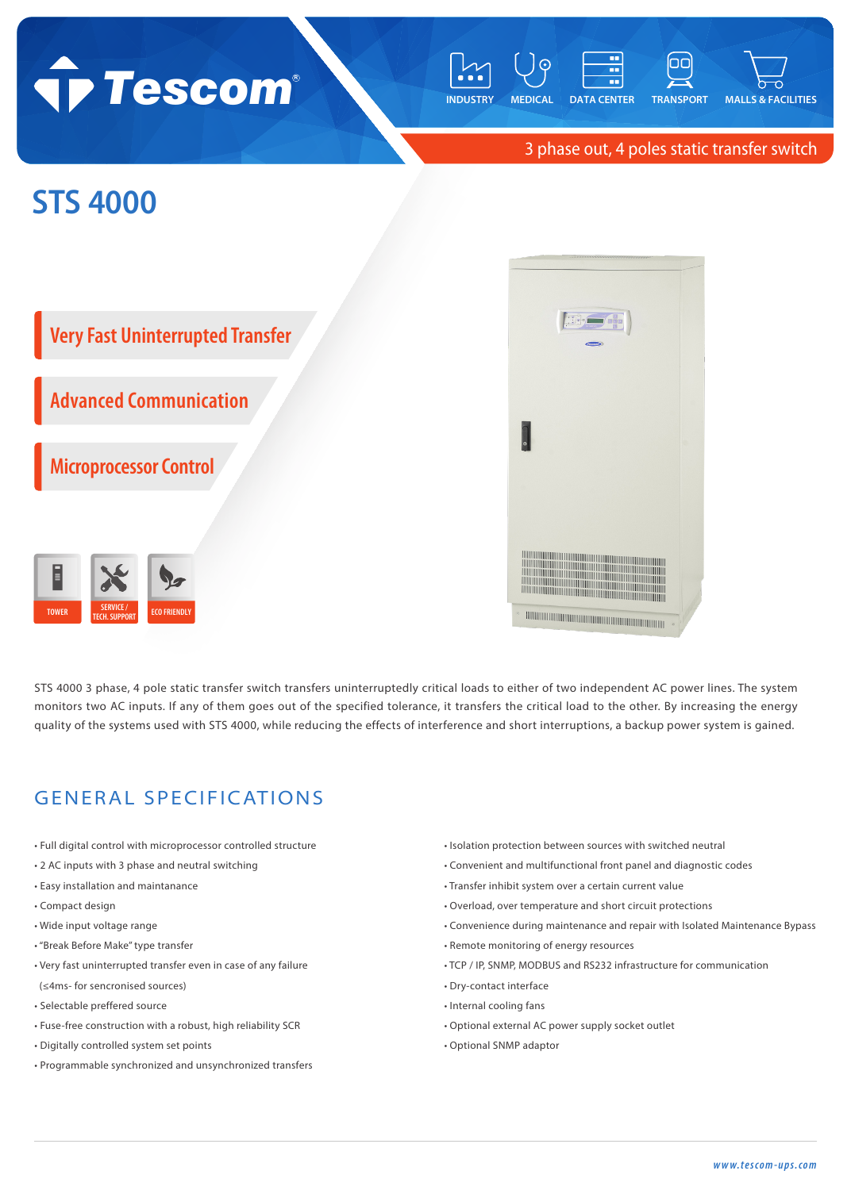## **Tescom**



3 phase out, 4 poles static transfer switch

## **STS 4000**





STS 4000 3 phase, 4 pole static transfer switch transfers uninterruptedly critical loads to either of two independent AC power lines. The system monitors two AC inputs. If any of them goes out of the specified tolerance, it transfers the critical load to the other. By increasing the energy quality of the systems used with STS 4000, while reducing the effects of interference and short interruptions, a backup power system is gained.

## GENERAL SPECIFICATIONS

- Full digital control with microprocessor controlled structure
- 2 AC inputs with 3 phase and neutral switching
- Easy installation and maintanance
- Compact design
- Wide input voltage range
- "Break Before Make" type transfer
- Very fast uninterrupted transfer even in case of any failure
- (≤4ms- for sencronised sources)
- Selectable preffered source
- Fuse-free construction with a robust, high reliability SCR
- Digitally controlled system set points
- Programmable synchronized and unsynchronized transfers
- Isolation protection between sources with switched neutral
- Convenient and multifunctional front panel and diagnostic codes
- Transfer inhibit system over a certain current value
- Overload, over temperature and short circuit protections
- Convenience during maintenance and repair with Isolated Maintenance Bypass
- Remote monitoring of energy resources
- TCP / IP, SNMP, MODBUS and RS232 infrastructure for communication
- Dry-contact interface
- Internal cooling fans
- Optional external AC power supply socket outlet
- Optional SNMP adaptor